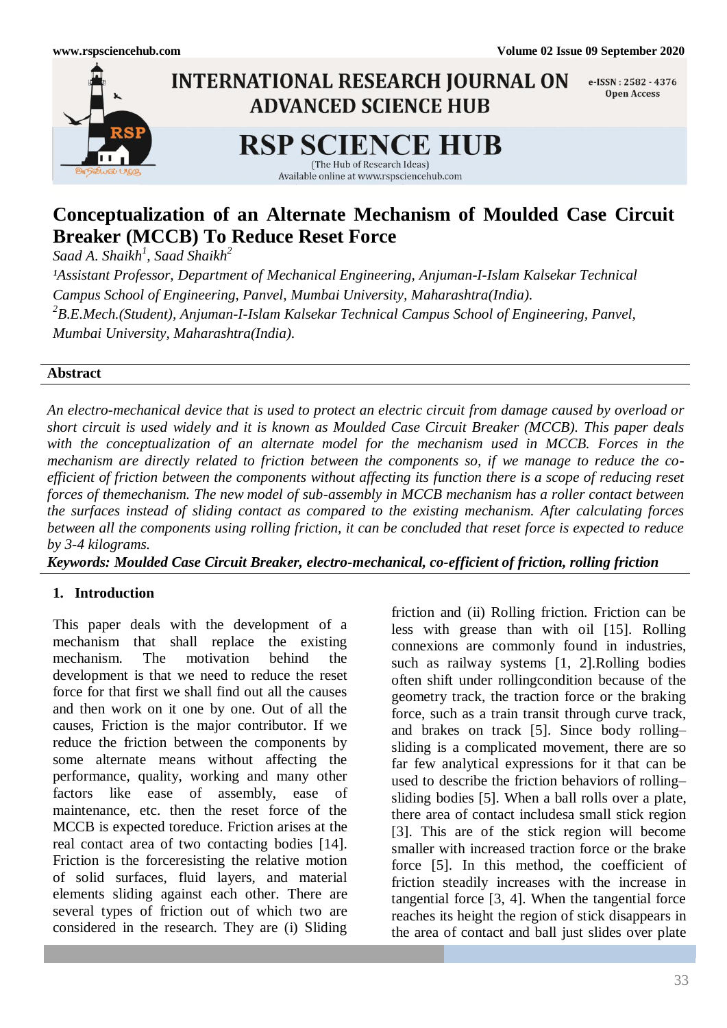

## **Conceptualization of an Alternate Mechanism of Moulded Case Circuit Breaker (MCCB) To Reduce Reset Force**

*Saad A. Shaikh<sup>1</sup> , Saad Shaikh<sup>2</sup>*

<sup>1</sup>Assistant Professor, Department of Mechanical Engineering, Anjuman-I-Islam Kalsekar Technical *Campus School of Engineering, Panvel, Mumbai University, Maharashtra(India). 2 B.E.Mech.(Student), Anjuman-I-Islam Kalsekar Technical Campus School of Engineering, Panvel, Mumbai University, Maharashtra(India).*

#### **Abstract**

*An electro-mechanical device that is used to protect an electric circuit from damage caused by overload or short circuit is used widely and it is known as Moulded Case Circuit Breaker (MCCB). This paper deals with the conceptualization of an alternate model for the mechanism used in MCCB. Forces in the mechanism are directly related to friction between the components so, if we manage to reduce the coefficient of friction between the components without affecting its function there is a scope of reducing reset forces of themechanism. The new model of sub-assembly in MCCB mechanism has a roller contact between the surfaces instead of sliding contact as compared to the existing mechanism. After calculating forces between all the components using rolling friction, it can be concluded that reset force is expected to reduce by 3-4 kilograms.*

*Keywords: Moulded Case Circuit Breaker, electro-mechanical, co-efficient of friction, rolling friction*

## **1. Introduction**

This paper deals with the development of a mechanism that shall replace the existing mechanism. The motivation behind the development is that we need to reduce the reset force for that first we shall find out all the causes and then work on it one by one. Out of all the causes, Friction is the major contributor. If we reduce the friction between the components by some alternate means without affecting the performance, quality, working and many other factors like ease of assembly, ease of maintenance, etc. then the reset force of the MCCB is expected toreduce. Friction arises at the real contact area of two contacting bodies [14]. Friction is the [forcer](http://en.wikipedia.org/wiki/Force)esisting the relative motion of solid surfaces, fluid layers, and material elements sliding against each other. There are several types of friction out of which two are considered in the research. They are (i) Sliding

friction and (ii) Rolling friction. Friction can be less with grease than with oil [15]. Rolling connexions are commonly found in industries, such as railway systems [1, 2].Rolling bodies often shift under rollingcondition because of the geometry track, the traction force or the braking force, such as a train transit through curve track, and brakes on track [5]. Since body rolling– sliding is a complicated movement, there are so far few analytical expressions for it that can be used to describe the friction behaviors of rolling– sliding bodies [5]. When a ball rolls over a plate, there area of contact includesa small stick region [3]. This are of the stick region will become smaller with increased traction force or the brake force [5]. In this method, the coefficient of friction steadily increases with the increase in tangential force [3, 4]. When the tangential force reaches its height the region of stick disappears in the area of contact and ball just slides over plate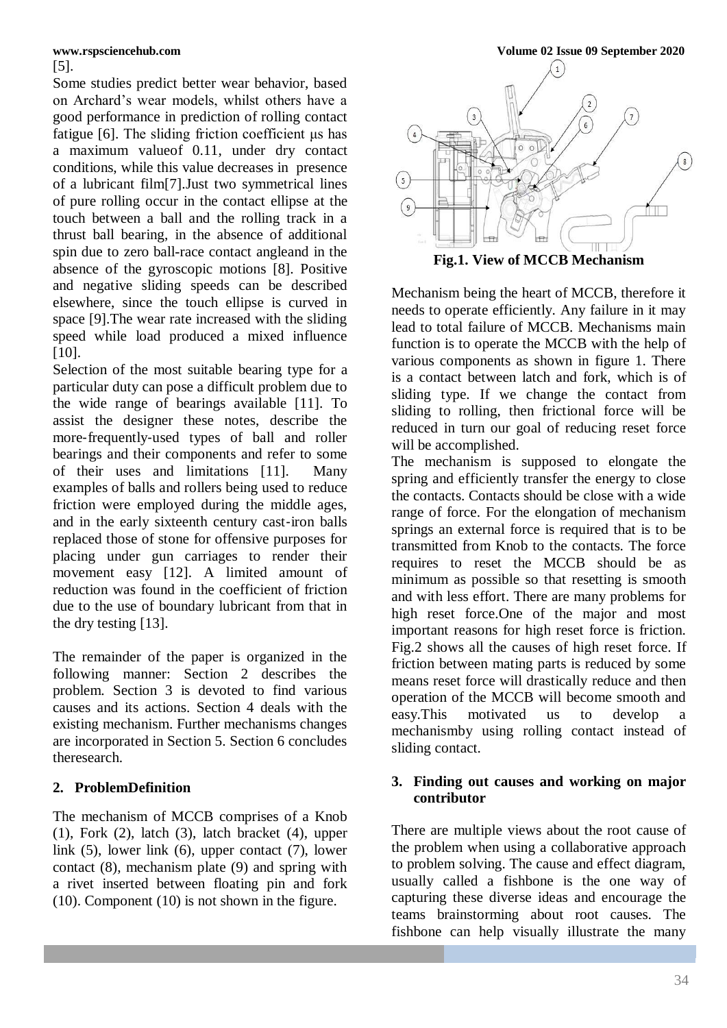# [5].

Some studies predict better wear behavior, based on Archard's wear models, whilst others have a good performance in prediction of rolling contact fatigue [6]. The sliding friction coefficient μs has a maximum valueof 0.11, under dry contact conditions, while this value decreases in presence of a lubricant film[7].Just two symmetrical lines of pure rolling occur in the contact ellipse at the touch between a ball and the rolling track in a thrust ball bearing, in the absence of additional spin due to zero ball-race contact angleand in the absence of the gyroscopic motions [8]. Positive and negative sliding speeds can be described elsewhere, since the touch ellipse is curved in space [9].The wear rate increased with the sliding speed while load produced a mixed influence [10].

Selection of the most suitable bearing type for a particular duty can pose a difficult problem due to the wide range of bearings available [11]. To assist the designer these notes, describe the more-frequently-used types of ball and roller bearings and their components and refer to some of their uses and limitations [11]. Many examples of balls and rollers being used to reduce friction were employed during the middle ages, and in the early sixteenth century cast‐iron balls replaced those of stone for offensive purposes for placing under gun carriages to render their movement easy [12]. A limited amount of reduction was found in the coefficient of friction due to the use of boundary lubricant from that in the dry testing [13].

The remainder of the paper is organized in the following manner: Section 2 describes the problem. Section 3 is devoted to find various causes and its actions. Section 4 deals with the existing mechanism. Further mechanisms changes are incorporated in Section 5. Section 6 concludes theresearch.

### **2. ProblemDefinition**

The mechanism of MCCB comprises of a Knob  $(1)$ , Fork  $(2)$ , latch  $(3)$ , latch bracket  $(4)$ , upper link (5), lower link (6), upper contact (7), lower contact (8), mechanism plate (9) and spring with a rivet inserted between floating pin and fork (10). Component (10) is not shown in the figure.



Mechanism being the heart of MCCB, therefore it needs to operate efficiently. Any failure in it may lead to total failure of MCCB. Mechanisms main function is to operate the MCCB with the help of various components as shown in figure 1. There is a contact between latch and fork, which is of sliding type. If we change the contact from sliding to rolling, then frictional force will be reduced in turn our goal of reducing reset force will be accomplished.

The mechanism is supposed to elongate the spring and efficiently transfer the energy to close the contacts. Contacts should be close with a wide range of force. For the elongation of mechanism springs an external force is required that is to be transmitted from Knob to the contacts. The force requires to reset the MCCB should be as minimum as possible so that resetting is smooth and with less effort. There are many problems for high reset force.One of the major and most important reasons for high reset force is friction. Fig.2 shows all the causes of high reset force. If friction between mating parts is reduced by some means reset force will drastically reduce and then operation of the MCCB will become smooth and easy.This motivated us to develop a mechanismby using rolling contact instead of sliding contact.

#### **3. Finding out causes and working on major contributor**

There are multiple views about the root cause of the problem when using a collaborative approach to problem solving. The cause and effect diagram, usually called a fishbone is the one way of capturing these diverse ideas and encourage the teams brainstorming about root causes. The fishbone can help visually illustrate the many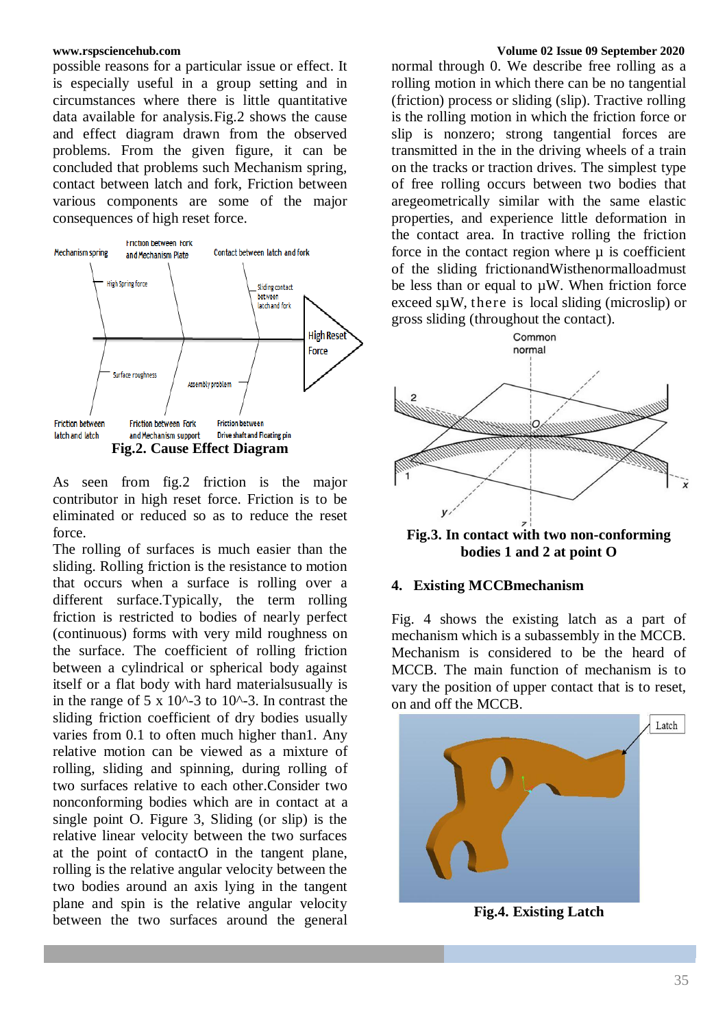possible reasons for a particular issue or effect. It is especially useful in a group setting and in circumstances where there is little quantitative data available for analysis.Fig.2 shows the cause and effect diagram drawn from the observed problems. From the given figure, it can be concluded that problems such Mechanism spring, contact between latch and fork, Friction between various components are some of the major consequences of high reset force.



As seen from fig.2 friction is the major contributor in high reset force. Friction is to be eliminated or reduced so as to reduce the reset force.

The rolling of surfaces is much easier than the sliding. Rolling friction is the resistance to motion that occurs when a surface is rolling over a different surface.Typically, the term rolling friction is restricted to bodies of nearly perfect (continuous) forms with very mild roughness on the surface. The coefficient of rolling friction between a cylindrical or spherical body against itself or a flat body with hard materialsusually is in the range of 5 x 10^-3 to 10^-3. In contrast the sliding friction coefficient of dry bodies usually varies from 0.1 to often much higher than1. Any relative motion can be viewed as a mixture of rolling, sliding and spinning, during rolling of two surfaces relative to each other.Consider two nonconforming bodies which are in contact at a single point O. Figure 3, Sliding (or slip) is the relative linear velocity between the two surfaces at the point of contactO in the tangent plane, rolling is the relative angular velocity between the two bodies around an axis lying in the tangent plane and spin is the relative angular velocity between the two surfaces around the general

#### **www.rspsciencehub.com Volume 02 Issue 09 September 2020**

normal through 0. We describe free rolling as a rolling motion in which there can be no tangential (friction) process or sliding (slip). Tractive rolling is the rolling motion in which the friction force or slip is nonzero; strong tangential forces are transmitted in the in the driving wheels of a train on the tracks or traction drives. The simplest type of free rolling occurs between two bodies that aregeometrically similar with the same elastic properties, and experience little deformation in the contact area. In tractive rolling the friction force in the contact region where  $\mu$  is coefficient of the sliding frictionandWisthenormalloadmust be less than or equal to  $\mu$ W. When friction force exceed sµW, there is local sliding (microslip) or gross sliding (throughout the contact).



**Fig.3. In contact with two non-conforming bodies 1 and 2 at point O**

#### **4. Existing MCCBmechanism**

Fig. 4 shows the existing latch as a part of mechanism which is a subassembly in the MCCB. Mechanism is considered to be the heard of MCCB. The main function of mechanism is to vary the position of upper contact that is to reset, on and off the MCCB.



**Fig.4. Existing Latch**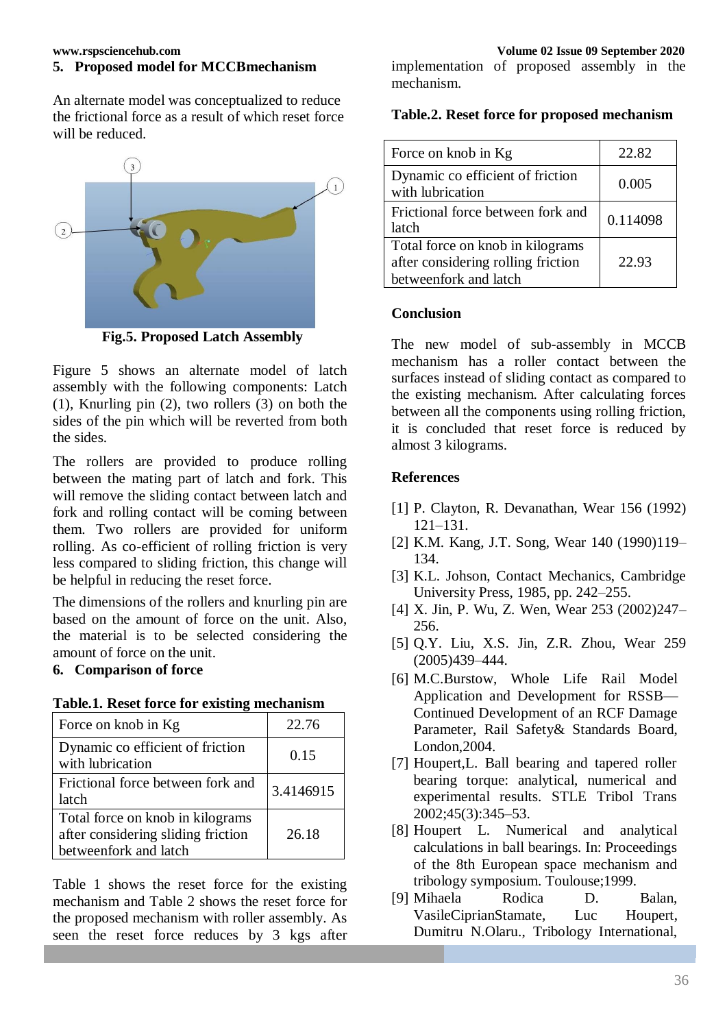## **5. Proposed model for MCCBmechanism**

An alternate model was conceptualized to reduce the frictional force as a result of which reset force will be reduced.



**Fig.5. Proposed Latch Assembly**

Figure 5 shows an alternate model of latch assembly with the following components: Latch (1), Knurling pin (2), two rollers (3) on both the sides of the pin which will be reverted from both the sides.

The rollers are provided to produce rolling between the mating part of latch and fork. This will remove the sliding contact between latch and fork and rolling contact will be coming between them. Two rollers are provided for uniform rolling. As co-efficient of rolling friction is very less compared to sliding friction, this change will be helpful in reducing the reset force.

The dimensions of the rollers and knurling pin are based on the amount of force on the unit. Also, the material is to be selected considering the amount of force on the unit.

#### **6. Comparison of force**

| Force on knob in Kg                                                                             | 22.76     |
|-------------------------------------------------------------------------------------------------|-----------|
| Dynamic co efficient of friction<br>with lubrication                                            | 0.15      |
| Frictional force between fork and<br>latch                                                      | 3.4146915 |
| Total force on knob in kilograms<br>after considering sliding friction<br>betweenfork and latch | 26.18     |

**Table.1. Reset force for existing mechanism**

Table 1 shows the reset force for the existing mechanism and Table 2 shows the reset force for the proposed mechanism with roller assembly. As seen the reset force reduces by 3 kgs after

implementation of proposed assembly in the mechanism.

### **Table.2. Reset force for proposed mechanism**

| Force on knob in Kg                                                                             | 22.82    |
|-------------------------------------------------------------------------------------------------|----------|
| Dynamic co efficient of friction<br>with lubrication                                            | 0.005    |
| Frictional force between fork and<br>latch                                                      | 0.114098 |
| Total force on knob in kilograms<br>after considering rolling friction<br>betweenfork and latch | 22.93    |

#### **Conclusion**

The new model of sub-assembly in MCCB mechanism has a roller contact between the surfaces instead of sliding contact as compared to the existing mechanism. After calculating forces between all the components using rolling friction, it is concluded that reset force is reduced by almost 3 kilograms.

#### **References**

- [1] P. Clayton, R. Devanathan, Wear 156 (1992) 121–131.
- [2] K.M. Kang, J.T. Song, Wear 140 (1990)119– 134.
- [3] K.L. Johson, Contact Mechanics, Cambridge University Press, 1985, pp. 242–255.
- [4] X. Jin, P. Wu, Z. Wen, Wear 253 (2002)247– 256.
- [5] Q.Y. Liu, X.S. Jin, Z.R. Zhou, Wear 259 (2005)439–444.
- [6] M.C.Burstow, Whole Life Rail Model Application and Development for RSSB— Continued Development of an RCF Damage Parameter, Rail Safety& Standards Board, London,2004.
- [7] Houpert,L. Ball bearing and tapered roller bearing torque: analytical, numerical and experimental results. STLE Tribol Trans 2002;45(3):345–53.
- [8] Houpert L. Numerical and analytical calculations in ball bearings. In: Proceedings of the 8th European space mechanism and tribology symposium. Toulouse;1999.
- [9] Mihaela Rodica D. Balan, VasileCiprianStamate, Luc Houpert, Dumitru N.Olaru., Tribology International,